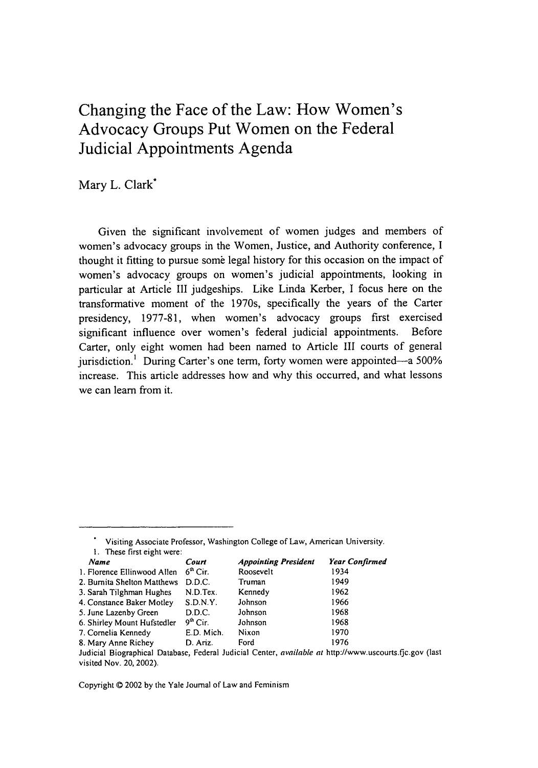# Changing the Face of the Law: How Women's Advocacy Groups Put Women on the Federal Judicial Appointments Agenda

Mary L. Clark\*

Given the significant involvement of women judges and members of women's advocacy groups in the Women, Justice, and Authority conference, I thought it fitting to pursue some legal history for this occasion on the impact of women's advocacy groups on women's judicial appointments, looking in particular at Article III judgeships. Like Linda Kerber, I focus here on the transformative moment of the 1970s, specifically the years of the Carter presidency, 1977-81, when women's advocacy groups first exercised significant influence over women's federal judicial appointments. Before Carter, only eight women had been named to Article III courts of general jurisdiction.<sup>1</sup> During Carter's one term, forty women were appointed—a 500% increase. This article addresses how and why this occurred, and what lessons we can learn from it.

**<sup>1.</sup>** These first eight were:

| <b>Name</b>                                                                               | Court            | <b>Appointing President</b> | <b>Year Confirmed</b> |
|-------------------------------------------------------------------------------------------|------------------|-----------------------------|-----------------------|
| 1. Florence Ellinwood Allen                                                               | $6^{\circ}$ Cir. | Roosevelt                   | 1934                  |
| 2. Burnita Shelton Matthews                                                               | D.D.C.           | Truman                      | 1949                  |
| 3. Sarah Tilghman Hughes                                                                  | N.D.Tex.         | Kennedy                     | 1962                  |
| 4. Constance Baker Motley                                                                 | S.D.N.Y.         | Johnson                     | 1966                  |
| 5. June Lazenby Green                                                                     | D.D.C.           | Johnson                     | 1968                  |
| 6. Shirley Mount Hufstedler                                                               | $9th$ Cir.       | Johnson                     | 1968                  |
| 7. Cornelia Kennedy                                                                       | E.D. Mich.       | Nixon                       | 1970                  |
| 8. Mary Anne Richey                                                                       | D. Anz.          | Ford                        | 1976                  |
| L. disirl Dissounding Londone, Cadagol Indiaial Capton, qualiphla at http://www.uppongta. |                  |                             |                       |

Judicial Biographical Database, Federal Judicial Center, available at http://www.uscourts.fjc.gov (last visited Nov. 20, 2002).

Copyright **Q** 2002 by the Yale Journal of Law and Feminism

Visiting Associate Professor, Washington College of Law, American University.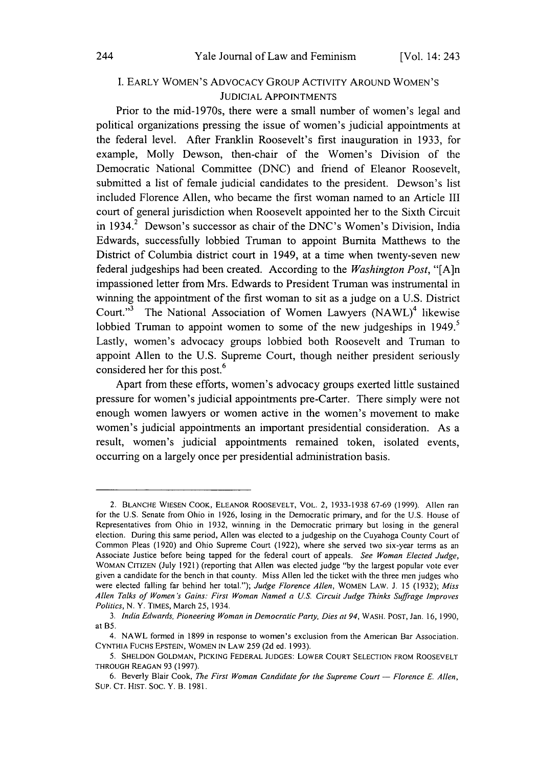## I. EARLY WOMEN'S ADVOCACY GROUP ACTIVITY AROUND WOMEN'S JUDICIAL APPOINTMENTS

Prior to the mid-1970s, there were a small number of women's legal and political organizations pressing the issue of women's judicial appointments at the federal level. After Franklin Roosevelt's first inauguration in 1933, for example, Molly Dewson, then-chair of the Women's Division of the Democratic National Committee (DNC) and friend of Eleanor Roosevelt, submitted a list of female judicial candidates to the president. Dewson's list included Florence Allen, who became the first woman named to an Article III court of general jurisdiction when Roosevelt appointed her to the Sixth Circuit in 1934.<sup> $2$ </sup> Dewson's successor as chair of the DNC's Women's Division, India Edwards, successfully lobbied Truman to appoint Burnita Matthews to the District of Columbia district court in 1949, at a time when twenty-seven new federal judgeships had been created. According to the *Washington Post,* "[A]n impassioned letter from Mrs. Edwards to President Truman was instrumental in winning the appointment of the first woman to sit as a judge on a U.S. District Court."<sup>3</sup> The National Association of Women Lawyers  $(NAWL)^4$  likewise lobbied Truman to appoint women to some of the new judgeships in  $1949$ .<sup>5</sup> Lastly, women's advocacy groups lobbied both Roosevelt and Truman to appoint Allen to the U.S. Supreme Court, though neither president seriously considered her for this post.<sup>6</sup>

Apart from these efforts, women's advocacy groups exerted little sustained pressure for women's judicial appointments pre-Carter. There simply were not enough women lawyers or women active in the women's movement to make women's judicial appointments an important presidential consideration. As a result, women's judicial appointments remained token, isolated events, occurring on a largely once per presidential administration basis.

<sup>2.</sup> BLANCHE WIESEN COOK, ELEANOR ROOSEVELT, VOL. 2, 1933-1938 67-69 (1999). Allen ran for the U.S. Senate from Ohio in 1926, losing in the Democratic primary, and for the U.S. House of Representatives from Ohio in 1932, winning in the Democratic primary but losing in the general election. During this same period, Allen was elected to a judgeship on the Cuyahoga County Court of Common Pleas (1920) and Ohio Supreme Court (1922), where she served two six-year terms as an Associate Justice before being tapped for the federal court of appeals. *See Woman* Elected Judge, WOMAN CITIZEN (July 1921) (reporting that Allen was elected judge "by the largest popular vote ever given a candidate for the bench in that county. Miss Allen led the ticket with the three men judges who were elected falling far behind her total."); Judge Florence Allen, WOMEN LAW. **J.** 15 (1932); *Miss* Allen Talks of Women's Gains: First Woman Named a **U.S.** Circuit Judge Thinks Suffrage Improves Politics, N. Y. TIMES, March 25, 1934.

**<sup>3.</sup>** India Edwards, Pioneering Woman in Democratic Party, Dies at 94, WASH. POST, Jan. **16,** 1990, at B5.

<sup>4.</sup> NAWL formed in 1899 in response to women's exclusion from the American Bar Association. CYNTHIA FUCHS EPSTEIN, WOMEN IN LAW 259 (2d ed. 1993).

<sup>5.</sup> SHELDON GOLDMAN, PICKING FEDERAL JUDGES: LOWER COURT SELECTION FROM ROOSEVELT THROUGH REAGAN 93 (1997).

<sup>6.</sup> Beverly Blair Cook, *The* First Woman Candidate for the Supreme Court **-** Florence **E.** Allen, SUP. CT. HIST. Soc. Y. B. 1981.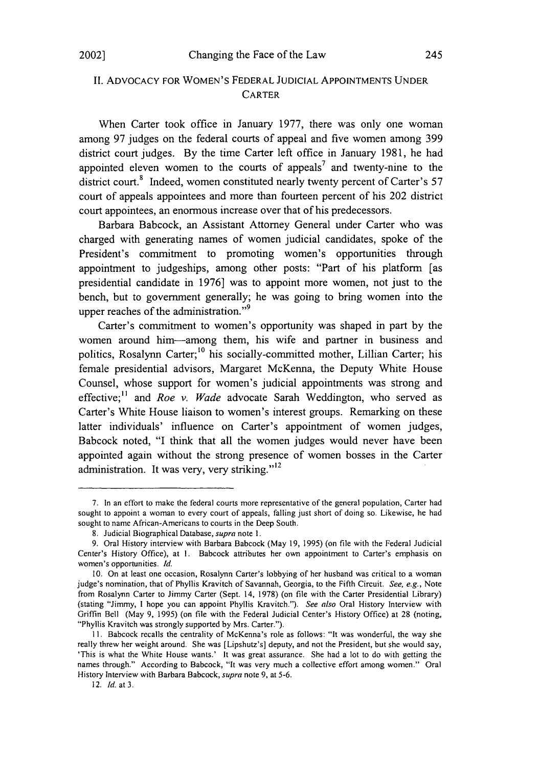# II. ADVOCACY FOR WOMEN'S FEDERAL JUDICIAL APPOINTMENTS UNDER CARTER

When Carter took office in January 1977, there was only one woman among 97 judges on the federal courts of appeal and five women among 399 district court judges. By the time Carter left office in January 1981, he had appointed eleven women to the courts of appeals<sup>7</sup> and twenty-nine to the district court.<sup>8</sup> Indeed, women constituted nearly twenty percent of Carter's 57 court of appeals appointees and more than fourteen percent of his 202 district court appointees, an enormous increase over that of his predecessors.

Barbara Babcock, an Assistant Attorney General under Carter who was charged with generating names of women judicial candidates, spoke of the President's commitment to promoting women's opportunities through appointment to judgeships, among other posts: "Part of his platform [as presidential candidate in 1976] was to appoint more women, not just to the bench, but to government generally; he was going to bring women into the upper reaches of the administration."<sup>9</sup>

Carter's commitment to women's opportunity was shaped in part by the women around him-among them, his wife and partner in business and politics, Rosalynn Carter;<sup>10</sup> his socially-committed mother, Lillian Carter; his female presidential advisors, Margaret McKenna, the Deputy White House Counsel, whose support for women's judicial appointments was strong and effective;<sup>11</sup> and *Roe v. Wade* advocate Sarah Weddington, who served as Carter's White House liaison to women's interest groups. Remarking on these latter individuals' influence on Carter's appointment of women judges, Babcock noted, "I think that all the women judges would never have been appointed again without the strong presence of women bosses in the Carter administration. It was very, very striking."<sup>12</sup>

<sup>7.</sup> In an effort to make the federal courts more representative of the general population, Carter had sought to appoint a woman to every court of appeals, falling just short of doing so. Likewise, he had sought to name African-Americans to courts in the Deep South.

<sup>8.</sup> Judicial Biographical Database, *supra* note **1.**

<sup>9.</sup> Oral History interview with Barbara Babcock (May 19, 1995) (on file with the Federal Judicial Center's History Office), at **1.** Babcock attributes her own appointment to Carter's emphasis on women's opportunities. *Id.*

<sup>10.</sup> On at least one occasion, Rosalynn Carter's lobbying of her husband was critical to a woman judge's nomination, that of Phyllis Kravitch of Savannah, Georgia, to the Fifth Circuit. *See, e.g.,* Note from Rosalynn Carter to Jimmy Carter (Sept. 14, 1978) (on file with the Carter Presidential Library) (stating "Jimmy, I hope you can appoint Phyllis Kravitch."). *See also* Oral History Interview with Griffin Bell (May 9, 1995) (on file with the Federal Judicial Center's History Office) at 28 (noting, "Phyllis Kravitch was strongly supported by Mrs. Carter.").

**<sup>11.</sup>** Babcock recalls the centrality of McKenna's role as follows: "It was wonderful, the way she really threw her weight around. She was [Lipshutz's] deputy, and not the President, but she would say, 'This is what the White House wants.' It was great assurance. She had a lot to do with getting the names through." According to Babcock, "It was very much a collective effort among women." Oral History Interview with Barbara Babcock, *supra* note 9, at 5-6.

<sup>12.</sup> *Id.* at 3.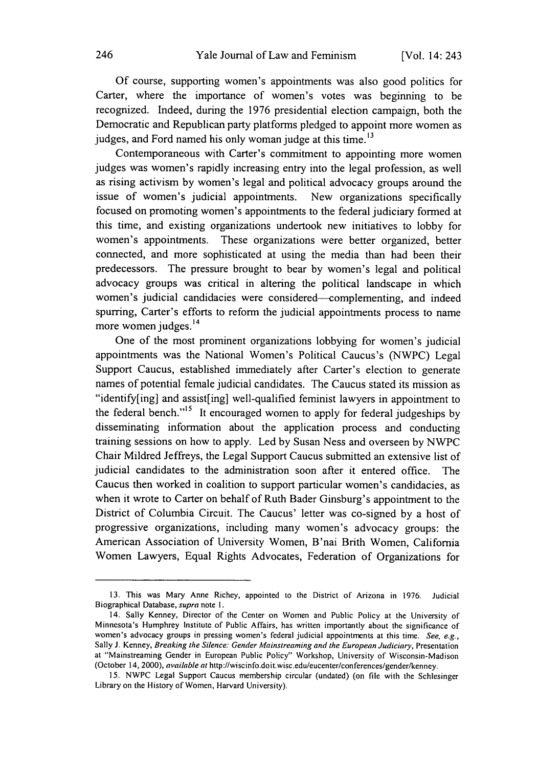Of course, supporting women's appointments was also good politics for Carter, where the importance of women's votes was beginning to be recognized. Indeed, during the 1976 presidential election campaign, both the Democratic and Republican party platforms pledged to appoint more women as judges, and Ford named his only woman judge at this time. **<sup>13</sup>**

Contemporaneous with Carter's commitment to appointing more women judges was women's rapidly increasing entry into the legal profession, as well as rising activism by women's legal and political advocacy groups around the issue of women's judicial appointments. New organizations specifically focused on promoting women's appointments to the federal judiciary formed at this time, and existing organizations undertook new initiatives to lobby for women's appointments. These organizations were better organized, better connected, and more sophisticated at using the media than had been their predecessors. The pressure brought to bear by women's legal and political advocacy groups was critical in altering the political landscape in which women's judicial candidacies were considered-complementing, and indeed spurring, Carter's efforts to reform the judicial appointments process to name more women judges.<sup>14</sup>

One of the most prominent organizations lobbying for women's judicial appointments was the National Women's Political Caucus's (NWPC) Legal Support Caucus, established immediately after Carter's election to generate names of potential female judicial candidates. The Caucus stated its mission as "identify(ing] and assist[ing] well-qualified feminist lawyers in appointment to the federal bench."<sup>15</sup> It encouraged women to apply for federal judgeships by disseminating information about the application process and conducting training sessions on how to apply. Led by Susan Ness and overseen by NWPC Chair Mildred Jeffreys, the Legal Support Caucus submitted an extensive list of judicial candidates to the administration soon after it entered office. The Caucus then worked in coalition to support particular women's candidacies, as when it wrote to Carter on behalf of Ruth Bader Ginsburg's appointment to the District of Columbia Circuit. The Caucus' letter was co-signed by a host of progressive organizations, including many women's advocacy groups: the American Association of University Women, B'nai Brith Women, California Women Lawyers, Equal Rights Advocates, Federation of Organizations for

<sup>13.</sup> This was Mary Anne Richey, appointed to the District of Arizona in 1976. Judicial Biographical Database, *supra* note **1.**

<sup>14.</sup> Sally Kenney, Director of the Center on Women and Public Policy at the University of Minnesota's Humphrey Institute of Public Affairs, has written importantly about the significance of women's advocacy groups in pressing women's federal judicial appointments at this time. *See, e.g.,* Sally J. Kenney, *Breaking the Silence: Gender Mainstreaming* and the European *Judiciary,* Presentation at "Mainstreaming Gender in European Public Policy" Workshop, University of Wisconsin-Madison (October 14, 2000), available at http://wiscinfo.doit.wisc.edu/eucenter/conferences/gender/kenney.

<sup>15.</sup> NWPC Legal Support Caucus membership circular (undated) (on file with the Schlesinger Library on the History of Women, Harvard University).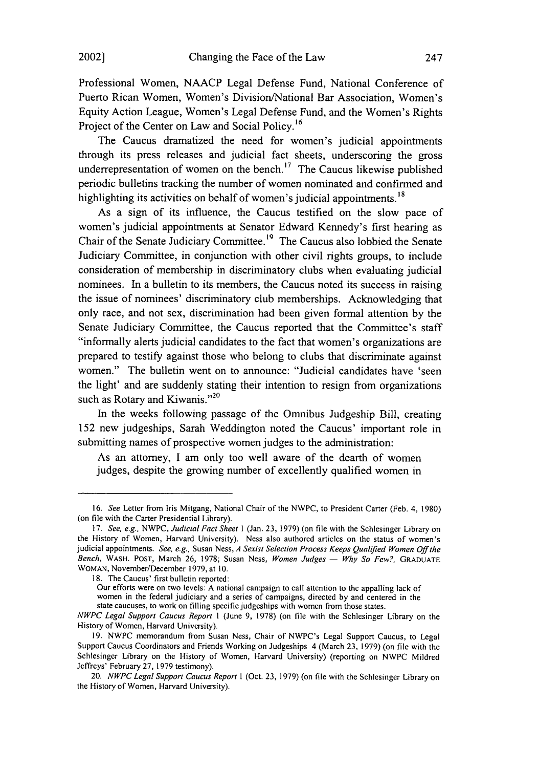Professional Women, NAACP Legal Defense Fund, National Conference of Puerto Rican Women, Women's Division/National Bar Association, Women's Equity Action League, Women's Legal Defense Fund, and the Women's Rights Project of the Center on Law and Social Policy.<sup>16</sup>

The Caucus dramatized the need for women's judicial appointments through its press releases and judicial fact sheets, underscoring the gross underrepresentation of women on the bench.<sup>17</sup> The Caucus likewise published periodic bulletins tracking the number of women nominated and confirmed and highlighting its activities on behalf of women's judicial appointments.<sup>18</sup>

As a sign of its influence, the Caucus testified on the slow pace of women's judicial appointments at Senator Edward Kennedy's first hearing as Chair of the Senate Judiciary Committee.<sup>19</sup> The Caucus also lobbied the Senate Judiciary Committee, in conjunction with other civil rights groups, to include consideration of membership in discriminatory clubs when evaluating judicial nominees. In a bulletin to its members, the Caucus noted its success in raising the issue of nominees' discriminatory club memberships. Acknowledging that only race, and not sex, discrimination had been given formal attention by the Senate Judiciary Committee, the Caucus reported that the Committee's staff "informally alerts judicial candidates to the fact that women's organizations are prepared to testify against those who belong to clubs that discriminate against women." The bulletin went on to announce: "Judicial candidates have 'seen the light' and are suddenly stating their intention to resign from organizations such as Rotary and Kiwanis."<sup>20</sup>

In the weeks following passage of the Omnibus Judgeship Bill, creating 152 new judgeships, Sarah Weddington noted the Caucus' important role in submitting names of prospective women judges to the administration:

As an attorney, I am only too well aware of the dearth of women judges, despite the growing number of excellently qualified women in

<sup>16.</sup> See Letter from Iris Mitgang, National Chair of the NWPC, to President Carter (Feb. 4, 1980) (on file with the Carter Presidential Library).

<sup>17.</sup> See, e.g., NWPC, Judicial Fact Sheet 1 (Jan. 23, 1979) (on file with the Schlesinger Library on the History of Women, Harvard University). Ness also authored articles on the status of women's judicial appointments. See, e.g., Susan Ness, A Sexist Selection Process Keeps Qualified Women Off the Bench, WASH. POST, March 26, 1978; Susan Ness, Women Judges **-** Why So Few?, GRADUATE WOMAN, November/December 1979, at 10.

<sup>18.</sup> The Caucus' first bulletin reported:

Our efforts were on two levels: A national campaign to call attention to the appalling lack of women in the federal judiciary and a series of campaigns, directed by and centered in the state caucuses, to work on filling specific judgeships with women from those states.

NWPC Legal Support Caucus Report 1 (June 9, 1978) (on file with the Schlesinger Library on the History of Women, Harvard University).

<sup>19.</sup> NWPC memorandum from Susan Ness, Chair of NWPC's Legal Support Caucus, to Legal Support Caucus Coordinators and Friends Working on Judgeships 4 (March 23, 1979) (on file with the Schlesinger Library on the History of Women, Harvard University) (reporting on NWPC Mildred Jeffreys' February 27, 1979 testimony).

<sup>20.</sup> NWPC Legal Support Caucus Report 1 (Oct. 23, 1979) (on file with the Schlesinger Library on the History of Women, Harvard University).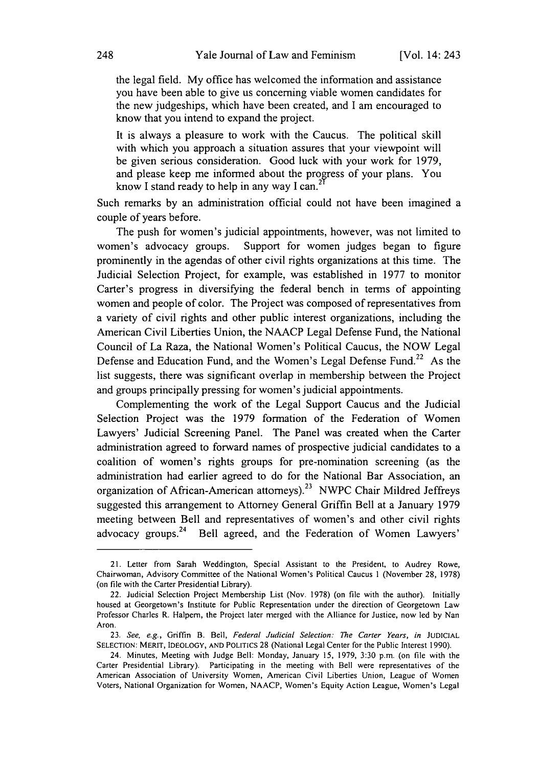the legal field. My office has welcomed the information and assistance you have been able to give us concerning viable women candidates for the new judgeships, which have been created, and I am encouraged to know that you intend to expand the project.

It is always a pleasure to work with the Caucus. The political skill with which you approach a situation assures that your viewpoint will be given serious consideration. Good luck with your work for 1979, and please keep me informed about the progress of your plans. You know I stand ready to help in any way I can. $<sup>2</sup>$ </sup>

Such remarks by an administration official could not have been imagined a couple of years before.

The push for women's judicial appointments, however, was not limited to women's advocacy groups. Support for women judges began to figure prominently in the agendas of other civil rights organizations at this time. The Judicial Selection Project, for example, was established in 1977 to monitor Carter's progress in diversifying the federal bench in terms of appointing women and people of color. The Project was composed of representatives from a variety of civil rights and other public interest organizations, including the American Civil Liberties Union, the NAACP Legal Defense Fund, the National Council of La Raza, the National Women's Political Caucus, the NOW Legal Defense and Education Fund, and the Women's Legal Defense Fund.<sup>22</sup> As the list suggests, there was significant overlap in membership between the Project and groups principally pressing for women's judicial appointments.

Complementing the work of the Legal Support Caucus and the Judicial Selection Project was the 1979 formation of the Federation of Women Lawyers' Judicial Screening Panel. The Panel was created when the Carter administration agreed to forward names of prospective judicial candidates to a coalition of women's rights groups for pre-nomination screening (as the administration had earlier agreed to do for the National Bar Association, an **<sup>23</sup>** organization of African-American attorneys). NWPC Chair Mildred Jeffreys suggested this arrangement to Attorney General Griffin Bell at a January 1979 meeting between Bell and representatives of women's and other civil rights advocacy groups.<sup>24</sup> Bell agreed, and the Federation of Women Lawyers'

<sup>21.</sup> Letter from Sarah Weddington, Special Assistant to the President, to Audrey Rowe, Chairwoman, Advisory Committee of the National Women's Political Caucus 1 (November 28, 1978) (on file with the Carter Presidential Library).

<sup>22.</sup> Judicial Selection Project Membership List (Nov. 1978) (on file with the author). Initially housed at Georgetown's Institute for Public Representation under the direction of Georgetown Law Professor Charles R. Halpern, the Project later merged with the Alliance for Justice, now led by Nan Aron.

<sup>23.</sup> See, e.g., Griffin B. Bell, Federal Judicial Selection: *The* Carter Years, in JUDICIAL SELECTION: MERIT, IDEOLOGY, AND POLITICS 28 (National Legal Center for the Public Interest 1990).

<sup>24.</sup> Minutes, Meeting with Judge Bell: Monday, January 15, 1979, 3:30 p.m. (on file with the Carter Presidential Library). Participating in the meeting with Bell were representatives of the American Association of University Women, American Civil Liberties Union, League of Women Voters, National Organization for Women, NAACP, Women's Equity Action League, Women's Legal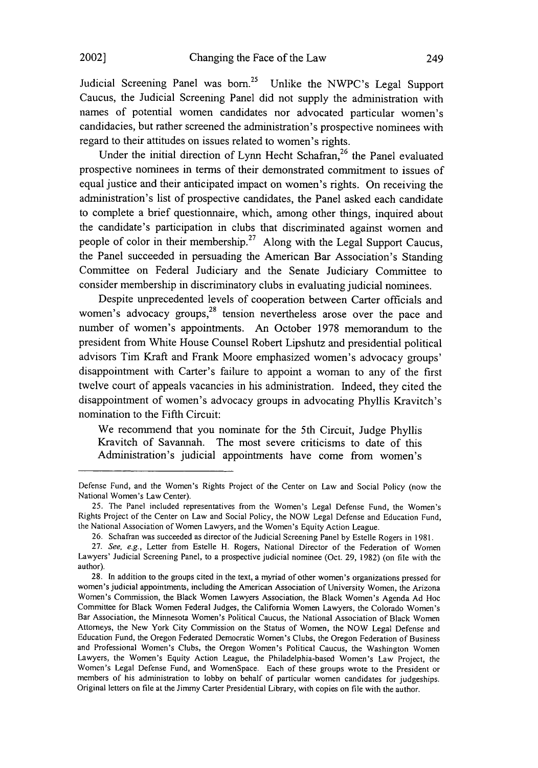Judicial Screening Panel was **born.25** Unlike the NWPC's Legal Support Caucus, the Judicial Screening Panel did not supply the administration with names of potential women candidates nor advocated particular women's candidacies, but rather screened the administration's prospective nominees with regard to their attitudes on issues related to women's rights.

Under the initial direction of Lynn Hecht Schafran,<sup>26</sup> the Panel evaluated prospective nominees in terms of their demonstrated commitment to issues of equal justice and their anticipated impact on women's rights. On receiving the administration's list of prospective candidates, the Panel asked each candidate to complete a brief questionnaire, which, among other things, inquired about the candidate's participation in clubs that discriminated against women and people of color in their membership.<sup>27</sup> Along with the Legal Support Caucus, the Panel succeeded in persuading the American Bar Association's Standing Committee on Federal Judiciary and the Senate Judiciary Committee to consider membership in discriminatory clubs in evaluating judicial nominees.

Despite unprecedented levels of cooperation between Carter officials and women's advocacy groups,<sup>28</sup> tension nevertheless arose over the pace and number of women's appointments. An October **1978** memorandum to the president from White House Counsel Robert Lipshutz and presidential political advisors Tim Kraft and Frank Moore emphasized women's advocacy groups' disappointment with Carter's failure to appoint a woman to any of the first twelve court of appeals vacancies in his administration. Indeed, they cited the disappointment of women's advocacy groups in advocating Phyllis Kravitch's nomination to the Fifth Circuit:

We recommend that you nominate for the 5th Circuit, Judge Phyllis Kravitch of Savannah. The most severe criticisms to date of this Administration's judicial appointments have come from women's

Defense Fund, and the Women's Rights Project of the Center on Law and Social Policy (now the National Women's Law Center).

**<sup>25.</sup>** The Panel included representatives from the Women's Legal Defense Fund, the Women's Rights Project of the Center on Law and Social Policy, the NOW Legal Defense and Education Fund, **the** National Association of Women Lawyers, and the Women's Equity Action League.

**<sup>26.</sup>** Schafran was succeeded as director of the Judicial Screening Panel **by** Estelle Rogers in **1981.**

**<sup>27.</sup>** *See, e.g.,* Letter from Estelle H. Rogers, National Director of the Federation of Women Lawyers' Judicial Screening Panel, to a prospective judicial nominee (Oct. **29, 1982)** (on file with the author).

**<sup>28.</sup>** In addition to the groups cited in the text, a myriad of other women's organizations pressed for women's judicial appointments, including the American Association of University Women, the Arizona Women's Commission, the Black Women Lawyers Association, the Black Women's Agenda **Ad** Hoc Committee **for** Black Women Federal Judges, the California Women Lawyers, the Colorado Women's Bar Association, the Minnesota Women's Political Caucus, the National Association of Black Women Attorneys, the New York City Commission on the Status of Women, the NOW Legal Defense and Education Fund, the Oregon Federated Democratic Women's Clubs, the Oregon Federation of Business and Professional Women's Clubs, the Oregon Women's Political Caucus, the Washington Women Lawyers, the Women's Equity Action League, the Philadelphia-based Women's Law Project, the Women's Legal Defense Fund, and WomenSpace. Each of these groups wrote to the President or members of his administration to lobby on behalf of particular women candidates for judgeships. Original letters on file at the Jimmy Carter Presidential Library, with copies on file with the author.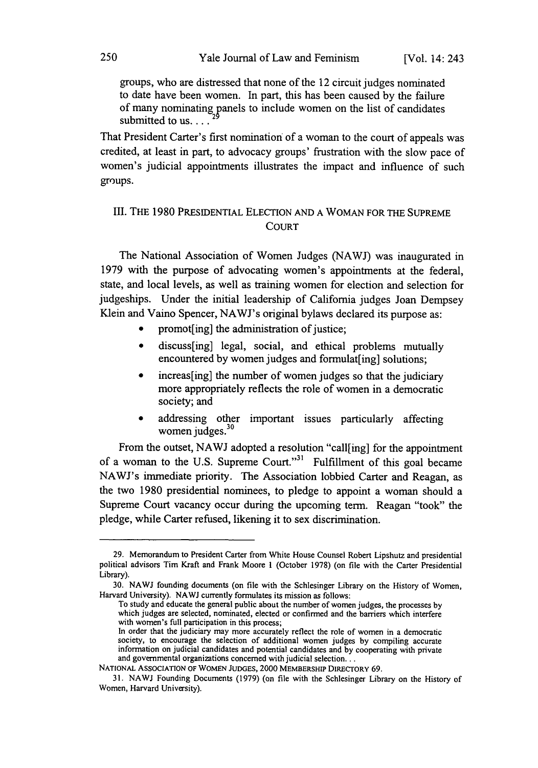groups, who are distressed that none of the 12 circuit judges nominated to date have been women. In part, this has been caused by the failure of many nominating panels to include women on the list of candidates submitted to us....

That President Carter's first nomination of a woman to the court of appeals was credited, at least in part, to advocacy groups' frustration with the slow pace of women's judicial appointments illustrates the impact and influence of such groups.

# III. THE 1980 PRESIDENTIAL ELECTION AND A WOMAN FOR THE SUPREME COURT

The National Association of Women Judges (NAWJ) was inaugurated in 1979 with the purpose of advocating women's appointments at the federal, state, and local levels, as well as training women for election and selection for judgeships. Under the initial leadership of California judges Joan Dempsey Klein and Vaino Spencer, NAWJ's original bylaws declared its purpose as:

- promot [ing] the administration of justice;
- \* discuss[ing] legal, social, and ethical problems mutually encountered by women judges and formulat [ing] solutions;
- increas [ing] the number of women judges so that the judiciary more appropriately reflects the role of women in a democratic society; and
- addressing other important issues particularly affecting women judges.<sup>30</sup>

From the outset, NAWJ adopted a resolution "call[ing] for the appointment of a woman to the U.S. Supreme Court."<sup>31</sup> Fulfillment of this goal became NAWJ's immediate priority. The Association lobbied Carter and Reagan, as the two 1980 presidential nominees, to pledge to appoint a woman should a Supreme Court vacancy occur during the upcoming term. Reagan "took" the pledge, while Carter refused, likening it to sex discrimination.

<sup>29.</sup> Memorandum to President Carter from White House Counsel Robert Lipshutz and presidential political advisors Tim Kraft and Frank Moore 1 (October 1978) (on file with the Carter Presidential Library).

<sup>30.</sup> NAWJ founding documents (on file with the Schlesinger Library on the History of Women, Harvard University). NAWJ currently formulates its mission as follows:

To study and educate the general public about the number of women judges, the processes by which judges are selected, nominated, elected or confirmed and the barriers which interfere with women's full participation in this process;

In order that the judiciary may more accurately reflect the role of women in a democratic society, to encourage the selection of additional women judges by compiling accurate information on judicial candidates and potential candidates and by cooperating with private and governmental organizations concerned with judicial selection...

NATIONAL ASSOCIATION OF WOMEN JUDGES, 2000 MEMBERSHIP DIRECTORY 69.

<sup>31.</sup> NAWJ Founding Documents (1979) (on file with the Schlesinger Library on the History of Women, Harvard University).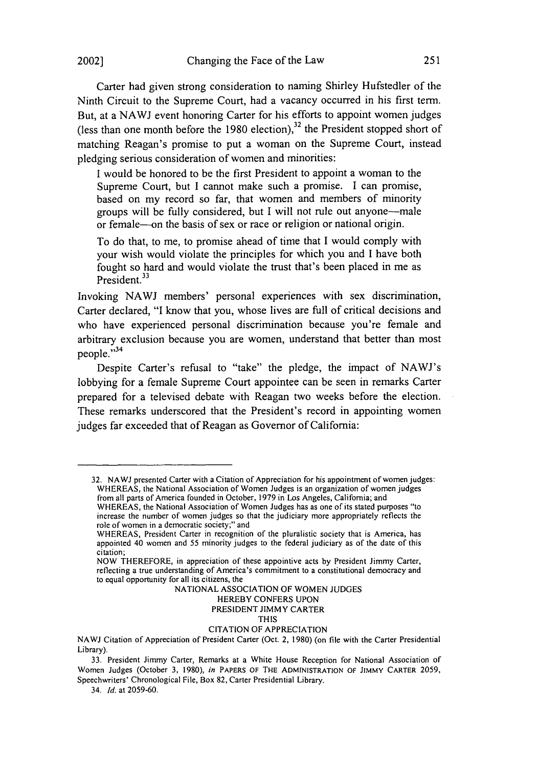Carter had given strong consideration to naming Shirley Hufstedler of the Ninth Circuit to the Supreme Court, had a vacancy occurred in his first term. But, at a NAWJ event honoring Carter for his efforts to appoint women judges (less than one month before the 1980 election),<sup>32</sup> the President stopped short of matching Reagan's promise to put a woman on the Supreme Court, instead pledging serious consideration of women and minorities:

I would be honored to be the first President to appoint a woman to the Supreme Court, but I cannot make such a promise. I can promise, based on my record so far, that women and members of minority groups will be fully considered, but I will not rule out anyone-male or female-on the basis of sex or race or religion or national origin.

To do that, to me, to promise ahead of time that I would comply with your wish would violate the principles for which you and I have both fought so hard and would violate the trust that's been placed in me as President.<sup>33</sup>

Invoking NAWJ members' personal experiences with sex discrimination, Carter declared, "I know that you, whose lives are full of critical decisions and who have experienced personal discrimination because you're female and arbitrary exclusion because you are women, understand that better than most momary.

Despite Carter's refusal to "take" the pledge, the impact of NAWJ's lobbying for a female Supreme Court appointee can be seen in remarks Carter prepared for a televised debate with Reagan two weeks before the election. These remarks underscored that the President's record in appointing women judges far exceeded that of Reagan as Governor of California:

NATIONAL ASSOCIATION OF WOMEN JUDGES

## HEREBY CONFERS UPON

#### PRESIDENT JIMMY CARTER

#### THIS

CITATION OF APPRECIATION

NAWJ Citation of Appreciation of President Carter (Oct. 2, 1980) (on file with the Carter Presidential Library).

34. **Id.** at 2059-60.

<sup>32.</sup> NAWJ presented Carter with a Citation of Appreciation for his appointment of women judges: WHEREAS, the National Association of Women Judges is an organization of women judges from all parts of America founded in October, 1979 in Los Angeles, California; and

WHEREAS, the National Association of Women Judges has as one of its stated purposes "to increase the number of women judges so that the judiciary more appropriately reflects the role of women in a democratic society;" and

WHEREAS, President Carter in recognition of the pluralistic society that is America, has appointed 40 women and 55 minority judges to the federal judiciary as of the date of this citation;

NOW THEREFORE, in appreciation of these appointive acts by President Jimmy Carter, reflecting a true understanding of America's commitment to a constitutional democracy and to equal opportunity for all its citizens, the

<sup>33.</sup> President Jimmy Carter, Remarks at a White House Reception for National Association of Women Judges (October 3, 1980), in PAPERS OF THE ADMINISTRATION OF JIMMY CARTER 2059, Speechwriters' Chronological File, Box 82, Carter Presidential Library.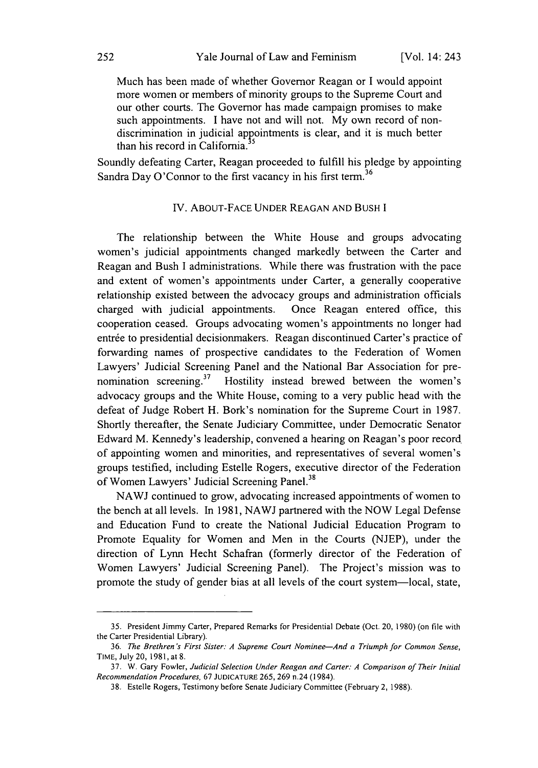Much has been made of whether Governor Reagan or I would appoint more women or members of minority groups to the Supreme Court and our other courts. The Governor has made campaign promises to make such appointments. I have not and will not. My own record of nondiscrimination in judicial appointments is clear, and it is much better than his record in California.

Soundly defeating Carter, Reagan proceeded to fulfill his pledge by appointing Sandra Day O'Connor to the first vacancy in his first term.<sup>36</sup>

## IV. ABOUT-FACE UNDER REAGAN AND BUSH I

The relationship between the White House and groups advocating women's judicial appointments changed markedly between the Carter and Reagan and Bush I administrations. While there was frustration with the pace and extent of women's appointments under Carter, a generally cooperative relationship existed between the advocacy groups and administration officials charged with judicial appointments. Once Reagan entered office, this cooperation ceased. Groups advocating women's appointments no longer had entrée to presidential decisionmakers. Reagan discontinued Carter's practice of forwarding names of prospective candidates to the Federation of Women Lawyers' Judicial Screening Panel and the National Bar Association for prenomination screening.<sup>37</sup> Hostility instead brewed between the women's advocacy groups and the White House, coming to a very public head with the defeat of Judge Robert H. Bork's nomination for the Supreme Court in 1987. Shortly thereafter, the Senate Judiciary Committee, under Democratic Senator Edward M. Kennedy's leadership, convened a hearing on Reagan's poor record. of appointing women and minorities, and representatives of several women's groups testified, including Estelle Rogers, executive director of the Federation of Women Lawyers' Judicial Screening Panel.<sup>38</sup>

NAWJ continued to grow, advocating increased appointments of women to the bench at all levels. In 1981, NAWJ partnered with the NOW Legal Defense and Education Fund to create the National Judicial Education Program to Promote Equality for Women and Men in the Courts (NJEP), under the direction of Lynn Hecht Schafran (formerly director of the Federation of Women Lawyers' Judicial Screening Panel). The Project's mission was to promote the study of gender bias at all levels of the court system-local, state,

<sup>35.</sup> President Jimmy Carter, Prepared Remarks for Presidential Debate (Oct. 20, 1980) (on file with the Carter Presidential Library).

<sup>36.</sup> *The Brethren 's First Sister: A Supreme Court Nominee-And a Triumph for Common Sense,* TIME, July 20, 1981, at 8.

<sup>37.</sup> W. Gary Fowler, *Judicial Selection Under Reagan and Carter: A Comparison of Their Initial Recommendation Procedures,* 67 **JUDICATURE** 265, 269 n.24 (1984).

<sup>38.</sup> Estelle Rogers, Testimony before Senate Judiciary Committee (February 2, 1988).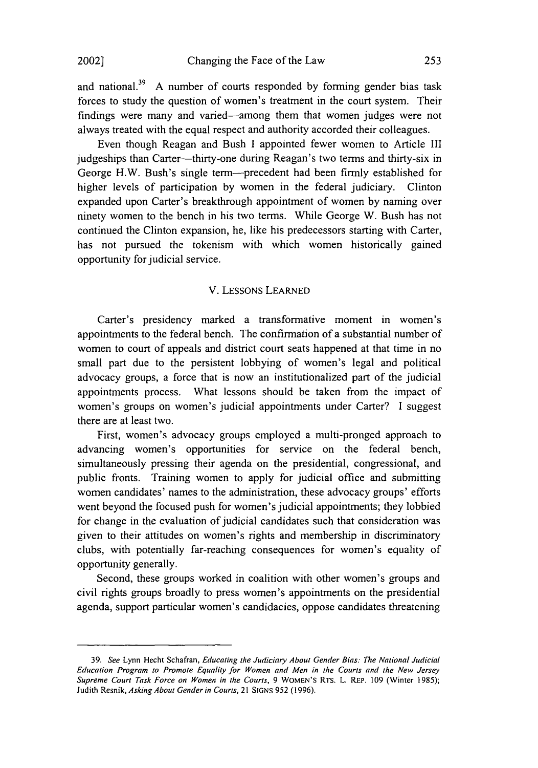and national.<sup>39</sup> A number of courts responded by forming gender bias task forces to study the question of women's treatment in the court system. Their findings were many and varied-among them that women judges were not always treated with the equal respect and authority accorded their colleagues.

Even though Reagan and Bush I appointed fewer women to Article III judgeships than Carter--thirty-one during Reagan's two terms and thirty-six in George H.W. Bush's single term-precedent had been firmly established for higher levels of participation by women in the federal judiciary. Clinton expanded upon Carter's breakthrough appointment of women by naming over ninety women to the bench in his two terms. While George W. Bush has not continued the Clinton expansion, he, like his predecessors starting with Carter, has not pursued the tokenism with which women historically gained opportunity for judicial service.

## V. LESSONS LEARNED

Carter's presidency marked a transformative moment in women's appointments to the federal bench. The confirmation of a substantial number of women to court of appeals and district court seats happened at that time in no small part due to the persistent lobbying of women's legal and political advocacy groups, a force that is now an institutionalized part of the judicial appointments process. What lessons should be taken from the impact of women's groups on women's judicial appointments under Carter? I suggest there are at least two.

First, women's advocacy groups employed a multi-pronged approach to advancing women's opportunities for service on the federal bench, simultaneously pressing their agenda on the presidential, congressional, and public fronts. Training women to apply for judicial office and submitting women candidates' names to the administration, these advocacy groups' efforts went beyond the focused push for women's judicial appointments; they lobbied for change in the evaluation of judicial candidates such that consideration was given to their attitudes on women's rights and membership in discriminatory clubs, with potentially far-reaching consequences for women's equality of opportunity generally.

Second, these groups worked in coalition with other women's groups and civil rights groups broadly to press women's appointments on the presidential agenda, support particular women's candidacies, oppose candidates threatening

<sup>39.</sup> See Lynn Hecht Schafran, Educating the Judiciary About Gender Bias: The National Judicial Education Program to Promote Equality for Women and Men in the Courts *and* the New Jersey Supreme Court Task Force on Women in the Courts, 9 WOMEN'S RTS. L. REP. 109 (Winter 1985); Judith Resnik, Asking About Gender in Courts, 21 SIGNS 952 (1996).